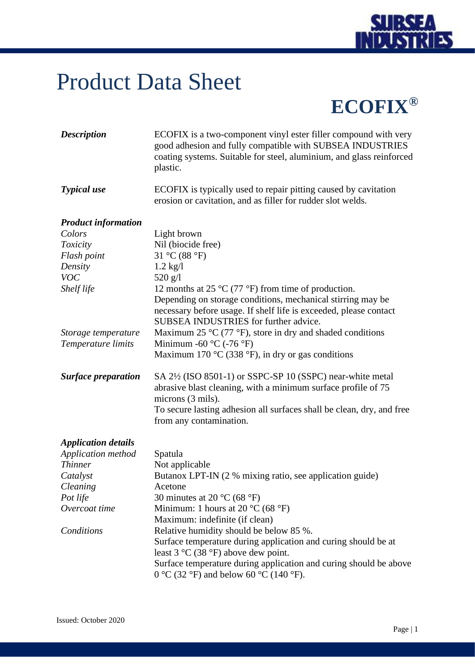

## Product Data Sheet

**ECOFIX®**

| <b>Description</b>         | ECOFIX is a two-component vinyl ester filler compound with very<br>good adhesion and fully compatible with SUBSEA INDUSTRIES<br>coating systems. Suitable for steel, aluminium, and glass reinforced<br>plastic.     |
|----------------------------|----------------------------------------------------------------------------------------------------------------------------------------------------------------------------------------------------------------------|
| <b>Typical</b> use         | ECOFIX is typically used to repair pitting caused by cavitation<br>erosion or cavitation, and as filler for rudder slot welds.                                                                                       |
| <b>Product information</b> |                                                                                                                                                                                                                      |
| Colors                     | Light brown                                                                                                                                                                                                          |
| <b>Toxicity</b>            | Nil (biocide free)                                                                                                                                                                                                   |
| Flash point                | 31 °C (88 °F)                                                                                                                                                                                                        |
| Density                    | $1.2$ kg/l                                                                                                                                                                                                           |
| <b>VOC</b>                 | $520$ g/l                                                                                                                                                                                                            |
| Shelf life                 | 12 months at 25 $\rm{^{\circ}C}$ (77 $\rm{^{\circ}F}$ ) from time of production.<br>Depending on storage conditions, mechanical stirring may be<br>necessary before usage. If shelf life is exceeded, please contact |
|                            | SUBSEA INDUSTRIES for further advice.                                                                                                                                                                                |
| Storage temperature        | Maximum 25 $\rm{^{\circ}C}$ (77 $\rm{^{\circ}F}$ ), store in dry and shaded conditions                                                                                                                               |
| Temperature limits         | Minimum -60 $\rm{^{\circ}C}$ (-76 $\rm{^{\circ}F}$ )                                                                                                                                                                 |
|                            | Maximum 170 °C (338 °F), in dry or gas conditions                                                                                                                                                                    |
| <b>Surface preparation</b> | SA 2½ (ISO 8501-1) or SSPC-SP 10 (SSPC) near-white metal<br>abrasive blast cleaning, with a minimum surface profile of 75<br>microns (3 mils).                                                                       |
|                            | To secure lasting adhesion all surfaces shall be clean, dry, and free<br>from any contamination.                                                                                                                     |
| <b>Application details</b> |                                                                                                                                                                                                                      |
| Application method         | Spatula                                                                                                                                                                                                              |
| <b>Thinner</b>             | Not applicable                                                                                                                                                                                                       |
| Catalyst                   | Butanox LPT-IN (2 % mixing ratio, see application guide)                                                                                                                                                             |
| Cleaning                   | Acetone                                                                                                                                                                                                              |
| Pot life                   | 30 minutes at 20 $^{\circ}$ C (68 $^{\circ}$ F)                                                                                                                                                                      |
| Overcoat time              | Minimum: 1 hours at 20 $^{\circ}$ C (68 $^{\circ}$ F)                                                                                                                                                                |
|                            | Maximum: indefinite (if clean)                                                                                                                                                                                       |
| Conditions                 | Relative humidity should be below 85 %.                                                                                                                                                                              |
|                            | Surface temperature during application and curing should be at<br>least $3 \text{ °C}$ (38 $\text{ °F}$ ) above dew point.                                                                                           |
|                            | Surface temperature during application and curing should be above<br>0 °C (32 °F) and below 60 °C (140 °F).                                                                                                          |